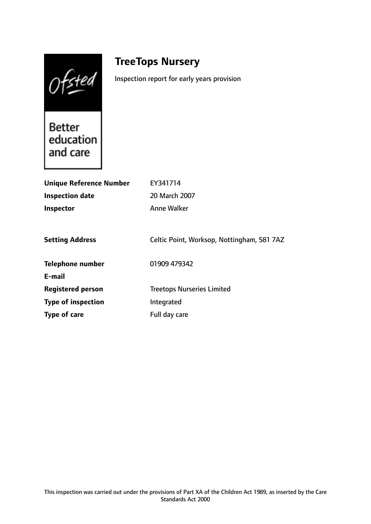Ofsted

# **TreeTops Nursery**

Inspection report for early years provision

Better education and care

| <b>Unique Reference Number</b> | EY341714                                   |
|--------------------------------|--------------------------------------------|
| <b>Inspection date</b>         | 20 March 2007                              |
| <b>Inspector</b>               | Anne Walker                                |
|                                |                                            |
| <b>Setting Address</b>         | Celtic Point, Worksop, Nottingham, S81 7AZ |
| <b>Telephone number</b>        | 01909 479342                               |
| E-mail                         |                                            |
| <b>Registered person</b>       | <b>Treetops Nurseries Limited</b>          |
| <b>Type of inspection</b>      | Integrated                                 |
| Type of care                   | Full day care                              |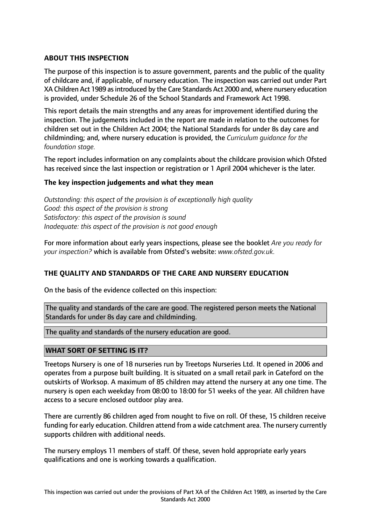# **ABOUT THIS INSPECTION**

The purpose of this inspection is to assure government, parents and the public of the quality of childcare and, if applicable, of nursery education. The inspection was carried out under Part XA Children Act 1989 asintroduced by the Care Standards Act 2000 and, where nursery education is provided, under Schedule 26 of the School Standards and Framework Act 1998.

This report details the main strengths and any areas for improvement identified during the inspection. The judgements included in the report are made in relation to the outcomes for children set out in the Children Act 2004; the National Standards for under 8s day care and childminding; and, where nursery education is provided, the *Curriculum guidance for the foundation stage.*

The report includes information on any complaints about the childcare provision which Ofsted has received since the last inspection or registration or 1 April 2004 whichever is the later.

## **The key inspection judgements and what they mean**

*Outstanding: this aspect of the provision is of exceptionally high quality Good: this aspect of the provision is strong Satisfactory: this aspect of the provision is sound Inadequate: this aspect of the provision is not good enough*

For more information about early years inspections, please see the booklet *Are you ready for your inspection?* which is available from Ofsted's website: *www.ofsted.gov.uk.*

## **THE QUALITY AND STANDARDS OF THE CARE AND NURSERY EDUCATION**

On the basis of the evidence collected on this inspection:

The quality and standards of the care are good. The registered person meets the National Standards for under 8s day care and childminding.

The quality and standards of the nursery education are good.

## **WHAT SORT OF SETTING IS IT?**

Treetops Nursery is one of 18 nurseries run by Treetops Nurseries Ltd. It opened in 2006 and operates from a purpose built building. It is situated on a small retail park in Gateford on the outskirts of Worksop. A maximum of 85 children may attend the nursery at any one time. The nursery is open each weekday from 08:00 to 18:00 for 51 weeks of the year. All children have access to a secure enclosed outdoor play area.

There are currently 86 children aged from nought to five on roll. Of these, 15 children receive funding for early education. Children attend from a wide catchment area. The nursery currently supports children with additional needs.

The nursery employs 11 members of staff. Of these, seven hold appropriate early years qualifications and one is working towards a qualification.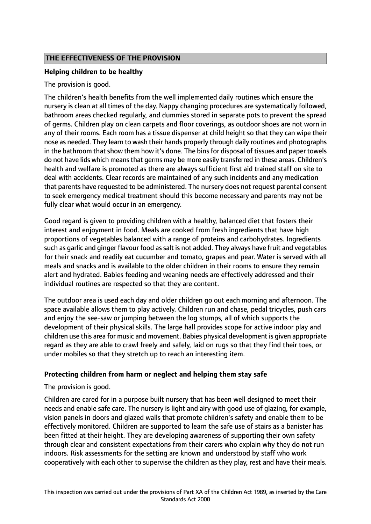# **THE EFFECTIVENESS OF THE PROVISION**

## **Helping children to be healthy**

The provision is good.

The children's health benefits from the well implemented daily routines which ensure the nursery is clean at all times of the day. Nappy changing procedures are systematically followed, bathroom areas checked regularly, and dummies stored in separate pots to prevent the spread of germs. Children play on clean carpets and floor coverings, as outdoor shoes are not worn in any of their rooms. Each room has a tissue dispenser at child height so that they can wipe their nose as needed. They learn to wash their hands properly through daily routines and photographs in the bathroom that show them how it's done. The bins for disposal of tissues and paper towels do not have lids which means that germs may be more easily transferred in these areas. Children's health and welfare is promoted as there are always sufficient first aid trained staff on site to deal with accidents. Clear records are maintained of any such incidents and any medication that parents have requested to be administered. The nursery does not request parental consent to seek emergency medical treatment should this become necessary and parents may not be fully clear what would occur in an emergency.

Good regard is given to providing children with a healthy, balanced diet that fosters their interest and enjoyment in food. Meals are cooked from fresh ingredients that have high proportions of vegetables balanced with a range of proteins and carbohydrates. Ingredients such as garlic and ginger flavour food as salt is not added. They always have fruit and vegetables for their snack and readily eat cucumber and tomato, grapes and pear. Water is served with all meals and snacks and is available to the older children in their rooms to ensure they remain alert and hydrated. Babies feeding and weaning needs are effectively addressed and their individual routines are respected so that they are content.

The outdoor area is used each day and older children go out each morning and afternoon. The space available allows them to play actively. Children run and chase, pedal tricycles, push cars and enjoy the see-saw or jumping between the log stumps, all of which supports the development of their physical skills. The large hall provides scope for active indoor play and children use this area for music and movement. Babies physical development is given appropriate regard as they are able to crawl freely and safely, laid on rugs so that they find their toes, or under mobiles so that they stretch up to reach an interesting item.

## **Protecting children from harm or neglect and helping them stay safe**

The provision is good.

Children are cared for in a purpose built nursery that has been well designed to meet their needs and enable safe care. The nursery is light and airy with good use of glazing, for example, vision panels in doors and glazed walls that promote children's safety and enable them to be effectively monitored. Children are supported to learn the safe use of stairs as a banister has been fitted at their height. They are developing awareness of supporting their own safety through clear and consistent expectations from their carers who explain why they do not run indoors. Risk assessments for the setting are known and understood by staff who work cooperatively with each other to supervise the children as they play, rest and have their meals.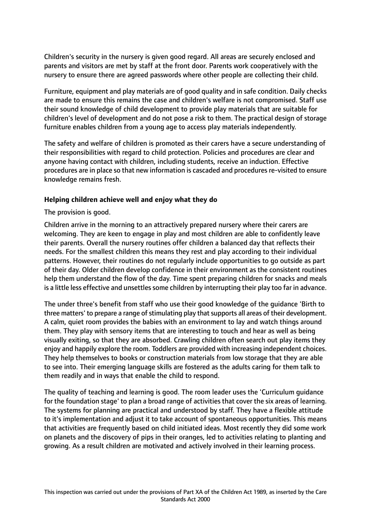Children's security in the nursery is given good regard. All areas are securely enclosed and parents and visitors are met by staff at the front door. Parents work cooperatively with the nursery to ensure there are agreed passwords where other people are collecting their child.

Furniture, equipment and play materials are of good quality and in safe condition. Daily checks are made to ensure this remains the case and children's welfare is not compromised. Staff use their sound knowledge of child development to provide play materials that are suitable for children's level of development and do not pose a risk to them. The practical design of storage furniture enables children from a young age to access play materials independently.

The safety and welfare of children is promoted as their carers have a secure understanding of their responsibilities with regard to child protection. Policies and procedures are clear and anyone having contact with children, including students, receive an induction. Effective procedures are in place so that new information is cascaded and procedures re-visited to ensure knowledge remains fresh.

## **Helping children achieve well and enjoy what they do**

The provision is good.

Children arrive in the morning to an attractively prepared nursery where their carers are welcoming. They are keen to engage in play and most children are able to confidently leave their parents. Overall the nursery routines offer children a balanced day that reflects their needs. For the smallest children this means they rest and play according to their individual patterns. However, their routines do not regularly include opportunities to go outside as part of their day. Older children develop confidence in their environment as the consistent routines help them understand the flow of the day. Time spent preparing children for snacks and meals is a little less effective and unsettles some children by interrupting their play too far in advance.

The under three's benefit from staff who use their good knowledge of the guidance 'Birth to three matters' to prepare a range of stimulating play that supports all areas of their development. A calm, quiet room provides the babies with an environment to lay and watch things around them. They play with sensory items that are interesting to touch and hear as well as being visually exiting, so that they are absorbed. Crawling children often search out play items they enjoy and happily explore the room. Toddlers are provided with increasing independent choices. They help themselves to books or construction materials from low storage that they are able to see into. Their emerging language skills are fostered as the adults caring for them talk to them readily and in ways that enable the child to respond.

The quality of teaching and learning is good. The room leader uses the 'Curriculum guidance for the foundation stage' to plan a broad range of activities that cover the six areas of learning. The systems for planning are practical and understood by staff. They have a flexible attitude to it's implementation and adjust it to take account of spontaneous opportunities. This means that activities are frequently based on child initiated ideas. Most recently they did some work on planets and the discovery of pips in their oranges, led to activities relating to planting and growing. As a result children are motivated and actively involved in their learning process.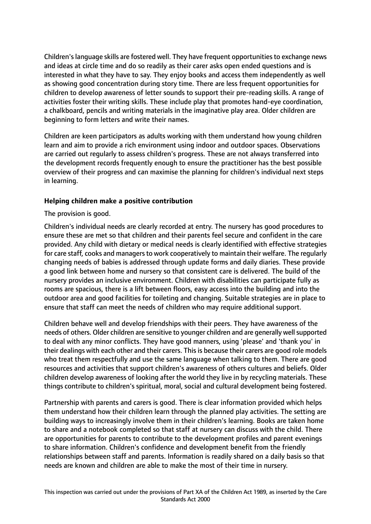Children's language skills are fostered well. They have frequent opportunities to exchange news and ideas at circle time and do so readily as their carer asks open ended questions and is interested in what they have to say. They enjoy books and access them independently as well as showing good concentration during story time. There are less frequent opportunities for children to develop awareness of letter sounds to support their pre-reading skills. A range of activities foster their writing skills. These include play that promotes hand-eye coordination, a chalkboard, pencils and writing materials in the imaginative play area. Older children are beginning to form letters and write their names.

Children are keen participators as adults working with them understand how young children learn and aim to provide a rich environment using indoor and outdoor spaces. Observations are carried out regularly to assess children's progress. These are not always transferred into the development records frequently enough to ensure the practitioner has the best possible overview of their progress and can maximise the planning for children's individual next steps in learning.

## **Helping children make a positive contribution**

The provision is good.

Children's individual needs are clearly recorded at entry. The nursery has good procedures to ensure these are met so that children and their parents feel secure and confident in the care provided. Any child with dietary or medical needs is clearly identified with effective strategies for care staff, cooks and managers to work cooperatively to maintain their welfare. The regularly changing needs of babies is addressed through update forms and daily diaries. These provide a good link between home and nursery so that consistent care is delivered. The build of the nursery provides an inclusive environment. Children with disabilities can participate fully as rooms are spacious, there is a lift between floors, easy access into the building and into the outdoor area and good facilities for toileting and changing. Suitable strategies are in place to ensure that staff can meet the needs of children who may require additional support.

Children behave well and develop friendships with their peers. They have awareness of the needs of others. Older children are sensitive to younger children and are generally well supported to deal with any minor conflicts. They have good manners, using 'please' and 'thank you' in their dealings with each other and their carers. This is because their carers are good role models who treat them respectfully and use the same language when talking to them. There are good resources and activities that support children's awareness of others cultures and beliefs. Older children develop awareness of looking after the world they live in by recycling materials. These things contribute to children's spiritual, moral, social and cultural development being fostered.

Partnership with parents and carers is good. There is clear information provided which helps them understand how their children learn through the planned play activities. The setting are building ways to increasingly involve them in their children's learning. Books are taken home to share and a notebook completed so that staff at nursery can discuss with the child. There are opportunities for parents to contribute to the development profiles and parent evenings to share information. Children's confidence and development benefit from the friendly relationships between staff and parents. Information is readily shared on a daily basis so that needs are known and children are able to make the most of their time in nursery.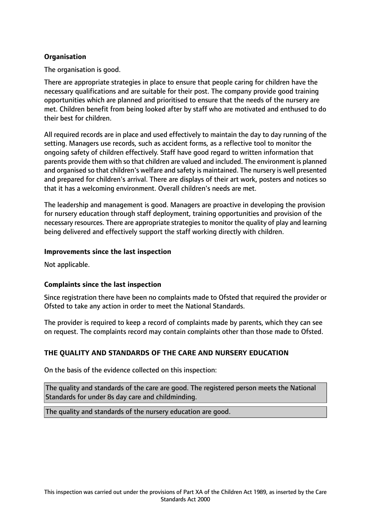# **Organisation**

The organisation is good.

There are appropriate strategies in place to ensure that people caring for children have the necessary qualifications and are suitable for their post. The company provide good training opportunities which are planned and prioritised to ensure that the needs of the nursery are met. Children benefit from being looked after by staff who are motivated and enthused to do their best for children.

All required records are in place and used effectively to maintain the day to day running of the setting. Managers use records, such as accident forms, as a reflective tool to monitor the ongoing safety of children effectively. Staff have good regard to written information that parents provide them with so that children are valued and included. The environment is planned and organised so that children's welfare and safety is maintained. The nursery is well presented and prepared for children's arrival. There are displays of their art work, posters and notices so that it has a welcoming environment. Overall children's needs are met.

The leadership and management is good. Managers are proactive in developing the provision for nursery education through staff deployment, training opportunities and provision of the necessary resources. There are appropriate strategiesto monitor the quality of play and learning being delivered and effectively support the staff working directly with children.

#### **Improvements since the last inspection**

Not applicable.

## **Complaints since the last inspection**

Since registration there have been no complaints made to Ofsted that required the provider or Ofsted to take any action in order to meet the National Standards.

The provider is required to keep a record of complaints made by parents, which they can see on request. The complaints record may contain complaints other than those made to Ofsted.

## **THE QUALITY AND STANDARDS OF THE CARE AND NURSERY EDUCATION**

On the basis of the evidence collected on this inspection:

The quality and standards of the care are good. The registered person meets the National Standards for under 8s day care and childminding.

The quality and standards of the nursery education are good.